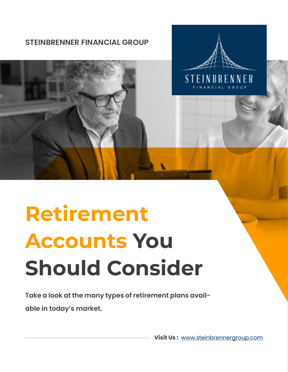



# **Retirement Accounts You Should Consider**

**Take a look at the many types of retirement plans available in today's market.**

**Visit Us :** [www.steinbrennergroup.com](https://www.steinbrennergroup.com/)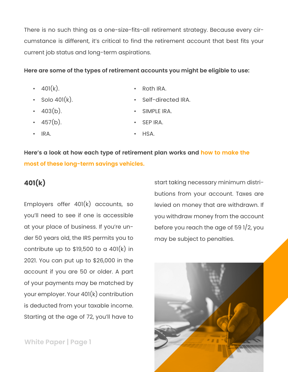There is no such thing as a one-size-fits-all retirement strategy. Because every circumstance is different, it's critical to find the retirement account that best fits your current job status and long-term aspirations.

#### **Here are some of the types of retirement accounts you might be eligible to use:**

- $401(k)$ .
- $\cdot$  Solo 401 $(k)$ .
- $\cdot$  403(b).
- $\cdot$  457(b).
- Roth IRA.
- Self-directed IRA.
- SIMPLE IRA.
	- SEP IRA.
- IRA. • HSA.

**Here's a look at how each type of retirement plan works and how to make the most of these long-term savings vehicles.**

## **401(k)**

Employers offer 401(k) accounts, so you'll need to see if one is accessible at your place of business. If you're under 50 years old, the IRS permits you to contribute up to \$19,500 to a 401(k) in 2021. You can put up to \$26,000 in the account if you are 50 or older. A part of your payments may be matched by your employer. Your 401(k) contribution is deducted from your taxable income. Starting at the age of 72, you'll have to

**White Paper | Page 1**

start taking necessary minimum distributions from your account. Taxes are levied on money that are withdrawn. If you withdraw money from the account before you reach the age of 59 1/2, you may be subject to penalties.

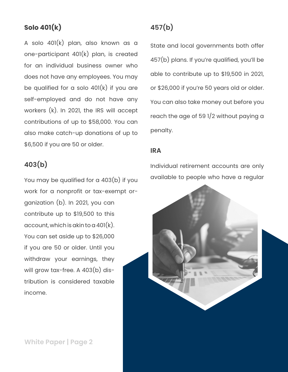## **Solo 401(k)**

A solo 401(k) plan, also known as a one-participant 401(k) plan, is created for an individual business owner who does not have any employees. You may be qualified for a solo  $401(k)$  if you are self-employed and do not have any workers (k). In 2021, the IRS will accept contributions of up to \$58,000. You can also make catch-up donations of up to \$6,500 if you are 50 or older.

## **403(b)**

You may be qualified for a 403(b) if you work for a nonprofit or tax-exempt organization (b). In 2021, you can contribute up to \$19,500 to this account, which is akin to a  $401(k)$ . You can set aside up to \$26,000 if you are 50 or older. Until you withdraw your earnings, they will grow tax-free. A 403(b) distribution is considered taxable income.

# **457(b)**

State and local governments both offer 457(b) plans. If you're qualified, you'll be able to contribute up to \$19,500 in 2021, or \$26,000 if you're 50 years old or older. You can also take money out before you reach the age of 59 1/2 without paying a penalty.

## **IRA**

Individual retirement accounts are only available to people who have a regular



**White Paper | Page 2**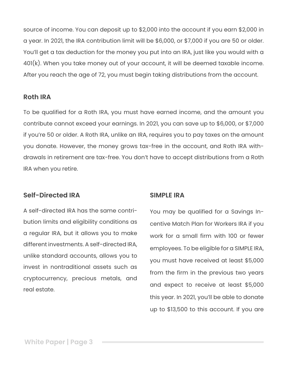source of income. You can deposit up to \$2,000 into the account if you earn \$2,000 in a year. In 2021, the IRA contribution limit will be \$6,000, or \$7,000 if you are 50 or older. You'll get a tax deduction for the money you put into an IRA, just like you would with a 401(k). When you take money out of your account, it will be deemed taxable income. After you reach the age of 72, you must begin taking distributions from the account.

#### **Roth IRA**

To be qualified for a Roth IRA, you must have earned income, and the amount you contribute cannot exceed your earnings. In 2021, you can save up to \$6,000, or \$7,000 if you're 50 or older. A Roth IRA, unlike an IRA, requires you to pay taxes on the amount you donate. However, the money grows tax-free in the account, and Roth IRA withdrawals in retirement are tax-free. You don't have to accept distributions from a Roth IRA when you retire.

## **Self-Directed IRA**

A self-directed IRA has the same contribution limits and eligibility conditions as a regular IRA, but it allows you to make different investments. A self-directed IRA, unlike standard accounts, allows you to invest in nontraditional assets such as cryptocurrency, precious metals, and real estate.

## **SIMPLE IRA**

You may be qualified for a Savings Incentive Match Plan for Workers IRA if you work for a small firm with 100 or fewer employees. To be eligible for a SIMPLE IRA, you must have received at least \$5,000 from the firm in the previous two years and expect to receive at least \$5,000 this year. In 2021, you'll be able to donate up to \$13,500 to this account. If you are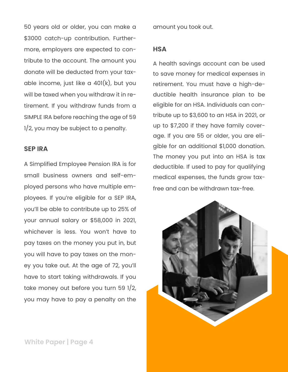50 years old or older, you can make a \$3000 catch-up contribution. Furthermore, employers are expected to contribute to the account. The amount you donate will be deducted from your taxable income, just like a  $401(k)$ , but you will be taxed when you withdraw it in retirement. If you withdraw funds from a SIMPLE IRA before reaching the age of 59 1/2, you may be subject to a penalty.

#### **SEP IRA**

A Simplified Employee Pension IRA is for small business owners and self-employed persons who have multiple employees. If you're eligible for a SEP IRA, you'll be able to contribute up to 25% of your annual salary or \$58,000 in 2021, whichever is less. You won't have to pay taxes on the money you put in, but you will have to pay taxes on the money you take out. At the age of 72, you'll have to start taking withdrawals. If you take money out before you turn 59 1/2, you may have to pay a penalty on the

amount you took out.

#### **HSA**

A health savings account can be used to save money for medical expenses in retirement. You must have a high-deductible health insurance plan to be eligible for an HSA. Individuals can contribute up to \$3,600 to an HSA in 2021, or up to \$7,200 if they have family coverage. If you are 55 or older, you are eligible for an additional \$1,000 donation. The money you put into an HSA is tax deductible. If used to pay for qualifying medical expenses, the funds grow taxfree and can be withdrawn tax-free.



**White Paper | Page 4**